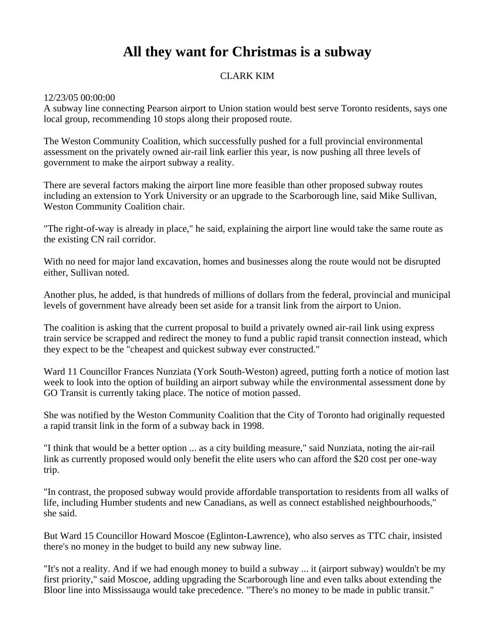## **All they want for Christmas is a subway**

## CLARK KIM

## 12/23/05 00:00:00

A subway line connecting Pearson airport to Union station would best serve Toronto residents, says one local group, recommending 10 stops along their proposed route.

The Weston Community Coalition, which successfully pushed for a full provincial environmental assessment on the privately owned air-rail link earlier this year, is now pushing all three levels of government to make the airport subway a reality.

There are several factors making the airport line more feasible than other proposed subway routes including an extension to York University or an upgrade to the Scarborough line, said Mike Sullivan, Weston Community Coalition chair.

"The right-of-way is already in place," he said, explaining the airport line would take the same route as the existing CN rail corridor.

With no need for major land excavation, homes and businesses along the route would not be disrupted either, Sullivan noted.

Another plus, he added, is that hundreds of millions of dollars from the federal, provincial and municipal levels of government have already been set aside for a transit link from the airport to Union.

The coalition is asking that the current proposal to build a privately owned air-rail link using express train service be scrapped and redirect the money to fund a public rapid transit connection instead, which they expect to be the "cheapest and quickest subway ever constructed."

Ward 11 Councillor Frances Nunziata (York South-Weston) agreed, putting forth a notice of motion last week to look into the option of building an airport subway while the environmental assessment done by GO Transit is currently taking place. The notice of motion passed.

She was notified by the Weston Community Coalition that the City of Toronto had originally requested a rapid transit link in the form of a subway back in 1998.

"I think that would be a better option ... as a city building measure," said Nunziata, noting the air-rail link as currently proposed would only benefit the elite users who can afford the \$20 cost per one-way trip.

"In contrast, the proposed subway would provide affordable transportation to residents from all walks of life, including Humber students and new Canadians, as well as connect established neighbourhoods," she said.

But Ward 15 Councillor Howard Moscoe (Eglinton-Lawrence), who also serves as TTC chair, insisted there's no money in the budget to build any new subway line.

"It's not a reality. And if we had enough money to build a subway ... it (airport subway) wouldn't be my first priority," said Moscoe, adding upgrading the Scarborough line and even talks about extending the Bloor line into Mississauga would take precedence. "There's no money to be made in public transit."